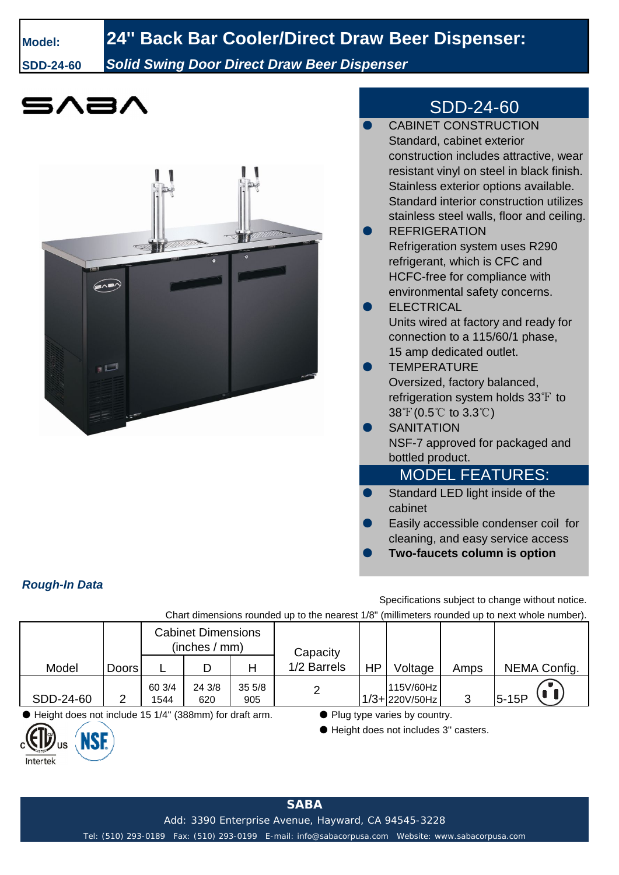## **Model: 24'' Back Bar Cooler/Direct Draw Beer Dispenser:**

**SDD-24-60** *Solid Swing Door Direct Draw Beer Dispenser*



## SDD-24-60

|                        | <b>CABINET CONSTRUCTION</b>               |  |  |  |  |  |  |
|------------------------|-------------------------------------------|--|--|--|--|--|--|
|                        | Standard, cabinet exterior                |  |  |  |  |  |  |
|                        | construction includes attractive, wear    |  |  |  |  |  |  |
|                        | resistant vinyl on steel in black finish. |  |  |  |  |  |  |
|                        | Stainless exterior options available.     |  |  |  |  |  |  |
|                        | Standard interior construction utilizes   |  |  |  |  |  |  |
|                        | stainless steel walls, floor and ceiling. |  |  |  |  |  |  |
|                        | <b>REFRIGERATION</b>                      |  |  |  |  |  |  |
|                        | Refrigeration system uses R290            |  |  |  |  |  |  |
|                        | refrigerant, which is CFC and             |  |  |  |  |  |  |
|                        | HCFC-free for compliance with             |  |  |  |  |  |  |
|                        | environmental safety concerns.            |  |  |  |  |  |  |
|                        | <b>ELECTRICAL</b>                         |  |  |  |  |  |  |
|                        | Units wired at factory and ready for      |  |  |  |  |  |  |
|                        | connection to a 115/60/1 phase,           |  |  |  |  |  |  |
|                        | 15 amp dedicated outlet.                  |  |  |  |  |  |  |
|                        | <b>TEMPERATURE</b>                        |  |  |  |  |  |  |
|                        | Oversized, factory balanced,              |  |  |  |  |  |  |
|                        | refrigeration system holds 33°F to        |  |  |  |  |  |  |
|                        | $38^{\circ}$ (0.5°C to 3.3°C)             |  |  |  |  |  |  |
|                        | <b>SANITATION</b>                         |  |  |  |  |  |  |
|                        | NSF-7 approved for packaged and           |  |  |  |  |  |  |
|                        | bottled product.                          |  |  |  |  |  |  |
| <b>MODEL FEATURES:</b> |                                           |  |  |  |  |  |  |
| ۰                      | Standard LED light inside of the          |  |  |  |  |  |  |
|                        | cabinet                                   |  |  |  |  |  |  |
|                        | Easily accessible condenser coil for      |  |  |  |  |  |  |
|                        | cleaning, and easy service access         |  |  |  |  |  |  |
|                        | Two-faucets column is option              |  |  |  |  |  |  |

*Rough-In Data*

**ANSE** 

US

Intertek

Specifications subject to change without notice.

Chart dimensions rounded up to the nearest 1/8" (millimeters rounded up to next whole number).

|                                                   |       | <b>Cabinet Dimensions</b><br>(inches / mm) |               |              | Capacity    |    |                                 |      |              |  |
|---------------------------------------------------|-------|--------------------------------------------|---------------|--------------|-------------|----|---------------------------------|------|--------------|--|
| Model                                             | Doors |                                            |               |              | 1/2 Barrels | HP | Voltage                         | Amps | NEMA Config. |  |
| SDD-24-60                                         |       | 60 3/4<br>1544                             | 24 3/8<br>620 | 355/8<br>905 |             |    | 115V/60Hz<br>$11/3 + 220V/50Hz$ |      | $5-15P$      |  |
| $\mathbf{v}$ . $\mathbf{v}$<br>$\sim$ $\sim$<br>- |       |                                            |               |              |             |    |                                 |      |              |  |

● Height does not include 15 1/4'' (388mm) for draft arm. ● Plug type varies by country.

● Height does not includes 3'' casters.

Add: 3390 Enterprise Avenue, Hayward, CA 94545-3228

Tel: (510) 293-0189 Fax: (510) 293-0199 E-mail: info@sabacorpusa.com Website: www.sabacorpusa.com